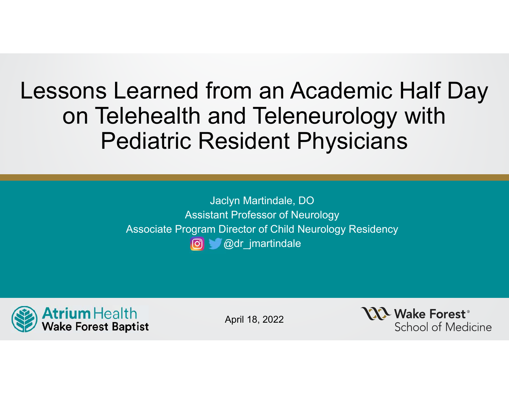### Lessons Learned from an Academic Half Day on Telehealth and Teleneurology with Pediatric Resident Physicians

Jaclyn Martindale, DO Assistant Professor of Neurology Associate Program Director of Child Neurology Residency **@dr\_jmartindale** 



April 18, 2022

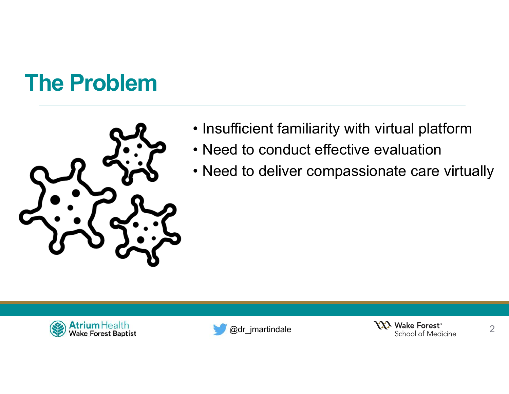# **The Problem**



- Insufficient familiarity with virtual platform
- Need to conduct effective evaluation
- Need to deliver compassionate care virtually





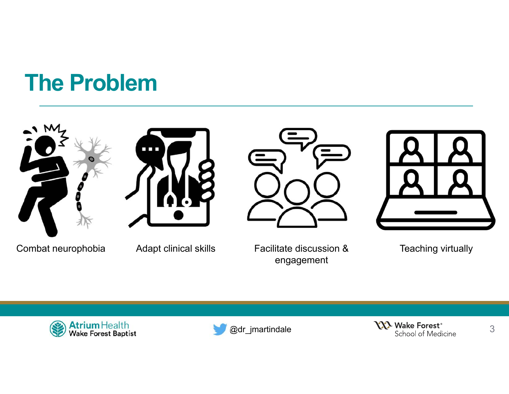## **The Problem**









Combat neurophobia Adapt clinical skills Facilitate discussion &

engagement

Teaching virtually





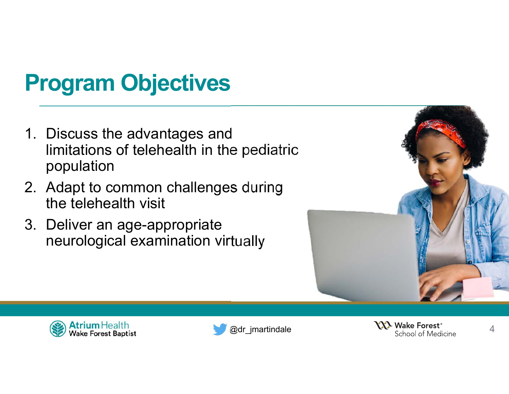# **Program Objectives**

- 1. Discuss the advantages and limitations of telehealth in the pediatric population
- 2. Adapt to common challenges during the telehealth visit
- 3. Deliver an age-appropriate neurological examination virtually







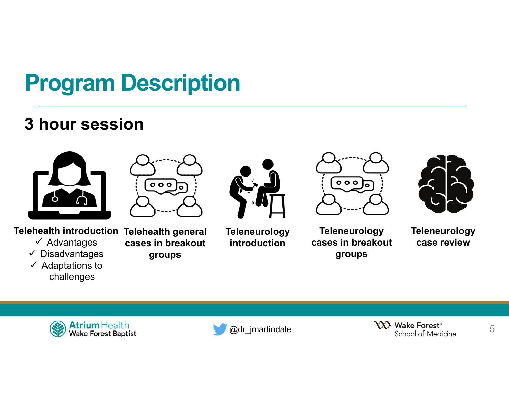### **Program Description**

### **3 hour session**







 $\checkmark$  Advantages  $\checkmark$  Disadvantages  $\checkmark$  Adaptations to

challenges

**groups**



**Teleneurology introduction**

**Teleneurology cases in breakout groups**

 $000<sub>o</sub>$ 



**Teleneurology case review**





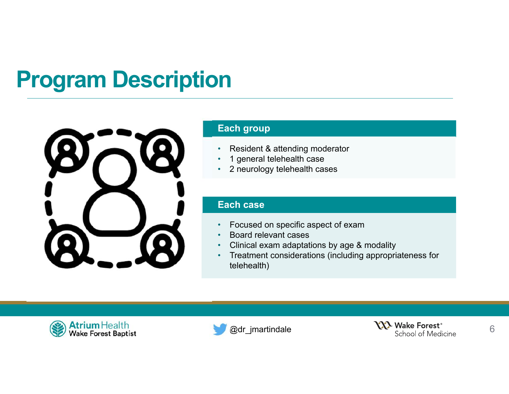# **Program Description**



#### **Each group**

- •Resident & attending moderator
- •1 general telehealth case
- •2 neurology telehealth cases

#### **Each case**

•

- •Focused on specific aspect of exam
- Board relevant cases
- •Clinical exam adaptations by age & modality
- • Treatment considerations (including appropriateness for telehealth)





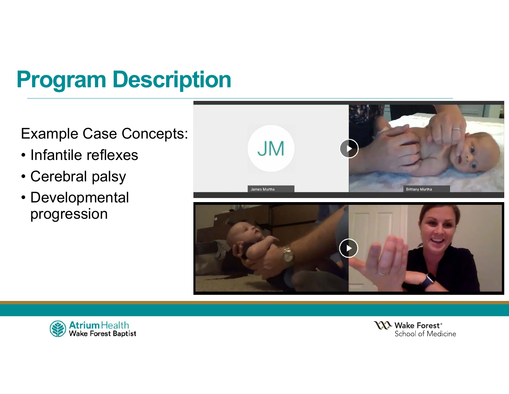# **Program Description**

Example Case Concepts:

- Infantile reflexes
- Cerebral palsy
- Developmental progression





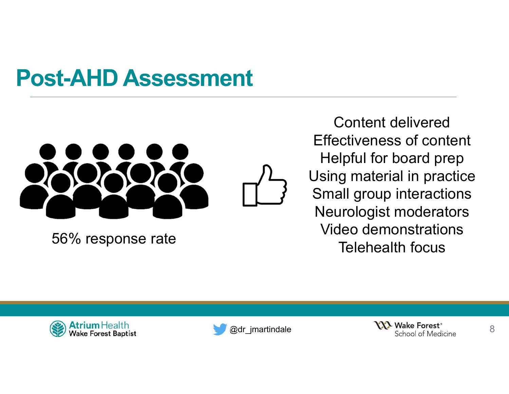## **Post-AHD Assessment**



56% response rate

Content deliveredEffectiveness of contentHelpful for board prep Using material in practice Small group interactions Neurologist moderators Video demonstrationsTelehealth focus





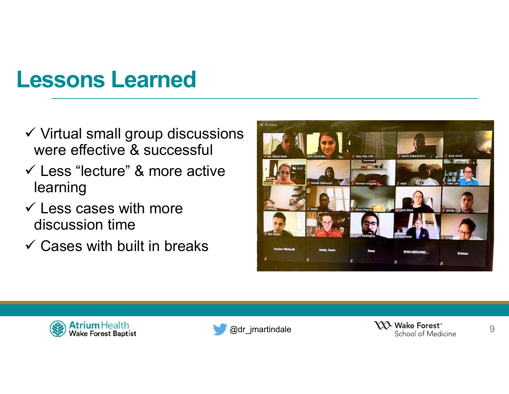# **Lessons Learned**

- $\checkmark$  Virtual small group discussions were effective & successful
- Less "lecture" & more active learning
- $\checkmark$  Less cases with more discussion time
- $\checkmark$  Cases with built in breaks